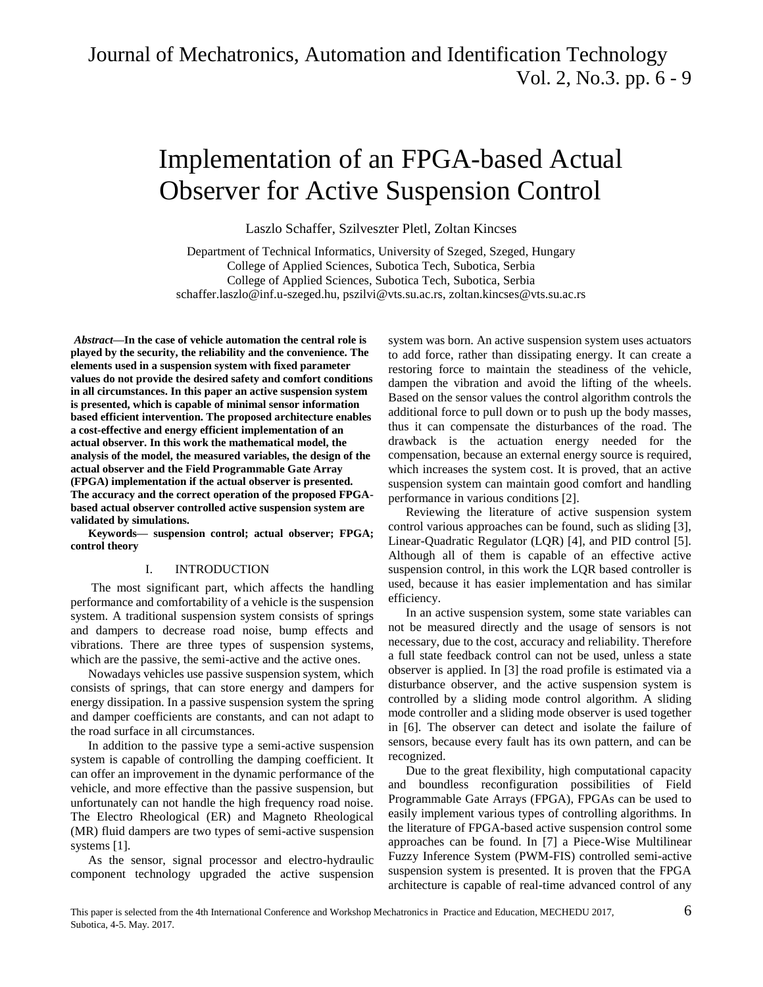# Implementation of an FPGA-based Actual Observer for Active Suspension Control

Laszlo Schaffer, Szilveszter Pletl, Zoltan Kincses

Department of Technical Informatics, University of Szeged, Szeged, Hungary College of Applied Sciences, Subotica Tech, Subotica, Serbia College of Applied Sciences, Subotica Tech, Subotica, Serbia [schaffer.laszlo@inf.u-szeged.hu,](mailto:schaffer.laszlo@inf.u-szeged.hu) [pszilvi@vts.su.ac.rs,](mailto:pszilvi@vts.su.ac.rs) [zoltan.kincses@vts.su.ac.rs](mailto:zoltan.kincses@vts.su.ac.rs)

*Abstract***—In the case of vehicle automation the central role is played by the security, the reliability and the convenience. The elements used in a suspension system with fixed parameter values do not provide the desired safety and comfort conditions in all circumstances. In this paper an active suspension system is presented, which is capable of minimal sensor information based efficient intervention. The proposed architecture enables a cost-effective and energy efficient implementation of an actual observer. In this work the mathematical model, the analysis of the model, the measured variables, the design of the actual observer and the Field Programmable Gate Array (FPGA) implementation if the actual observer is presented. The accuracy and the correct operation of the proposed FPGAbased actual observer controlled active suspension system are validated by simulations.** 

**Keywords— suspension control; actual observer; FPGA; control theory** 

#### I. INTRODUCTION

The most significant part, which affects the handling performance and comfortability of a vehicle is the suspension system. A traditional suspension system consists of springs and dampers to decrease road noise, bump effects and vibrations. There are three types of suspension systems, which are the passive, the semi-active and the active ones.

Nowadays vehicles use passive suspension system, which consists of springs, that can store energy and dampers for energy dissipation. In a passive suspension system the spring and damper coefficients are constants, and can not adapt to the road surface in all circumstances.

In addition to the passive type a semi-active suspension system is capable of controlling the damping coefficient. It can offer an improvement in the dynamic performance of the vehicle, and more effective than the passive suspension, but unfortunately can not handle the high frequency road noise. The Electro Rheological (ER) and Magneto Rheological (MR) fluid dampers are two types of semi-active suspension systems [1].

As the sensor, signal processor and electro-hydraulic component technology upgraded the active suspension

system was born. An active suspension system uses actuators to add force, rather than dissipating energy. It can create a restoring force to maintain the steadiness of the vehicle, dampen the vibration and avoid the lifting of the wheels. Based on the sensor values the control algorithm controls the additional force to pull down or to push up the body masses, thus it can compensate the disturbances of the road. The drawback is the actuation energy needed for the compensation, because an external energy source is required, which increases the system cost. It is proved, that an active suspension system can maintain good comfort and handling performance in various conditions [2].

Reviewing the literature of active suspension system control various approaches can be found, such as sliding [3], Linear-Quadratic Regulator (LQR) [4], and PID control [5]. Although all of them is capable of an effective active suspension control, in this work the LQR based controller is used, because it has easier implementation and has similar efficiency.

In an active suspension system, some state variables can not be measured directly and the usage of sensors is not necessary, due to the cost, accuracy and reliability. Therefore a full state feedback control can not be used, unless a state observer is applied. In [3] the road profile is estimated via a disturbance observer, and the active suspension system is controlled by a sliding mode control algorithm. A sliding mode controller and a sliding mode observer is used together in [6]. The observer can detect and isolate the failure of sensors, because every fault has its own pattern, and can be recognized.

Due to the great flexibility, high computational capacity and boundless reconfiguration possibilities of Field Programmable Gate Arrays (FPGA), FPGAs can be used to easily implement various types of controlling algorithms. In the literature of FPGA-based active suspension control some approaches can be found. In [7] a Piece-Wise Multilinear Fuzzy Inference System (PWM-FIS) controlled semi-active suspension system is presented. It is proven that the FPGA architecture is capable of real-time advanced control of any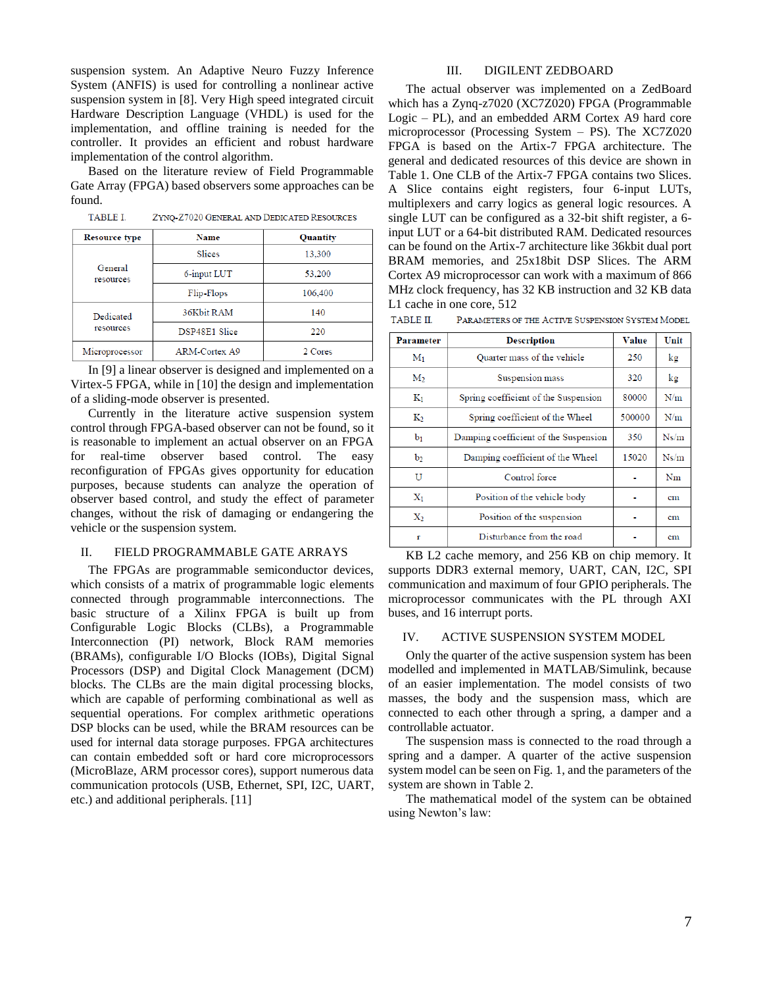suspension system. An Adaptive Neuro Fuzzy Inference System (ANFIS) is used for controlling a nonlinear active suspension system in [8]. Very High speed integrated circuit Hardware Description Language (VHDL) is used for the implementation, and offline training is needed for the controller. It provides an efficient and robust hardware implementation of the control algorithm.

Based on the literature review of Field Programmable Gate Array (FPGA) based observers some approaches can be found.

**TABLE I.** ZYNQ-Z7020 GENERAL AND DEDICATED RESOURCES

| <b>Resource type</b>   | <b>Name</b>   | Quantity |
|------------------------|---------------|----------|
| General<br>resources   | Slices        | 13,300   |
|                        | 6-input LUT   | 53,200   |
|                        | Flip-Flops    | 106,400  |
| Dedicated<br>resources | 36Kbit RAM    | 140      |
|                        | DSP48E1 Slice | 220      |
| Microprocessor         | ARM-Cortex A9 | 2 Cores  |

In [9] a linear observer is designed and implemented on a Virtex-5 FPGA, while in [10] the design and implementation of a sliding-mode observer is presented.

Currently in the literature active suspension system control through FPGA-based observer can not be found, so it is reasonable to implement an actual observer on an FPGA for real-time observer based control. The easy reconfiguration of FPGAs gives opportunity for education purposes, because students can analyze the operation of observer based control, and study the effect of parameter changes, without the risk of damaging or endangering the vehicle or the suspension system.

## II. FIELD PROGRAMMABLE GATE ARRAYS

The FPGAs are programmable semiconductor devices, which consists of a matrix of programmable logic elements connected through programmable interconnections. The basic structure of a Xilinx FPGA is built up from Configurable Logic Blocks (CLBs), a Programmable Interconnection (PI) network, Block RAM memories (BRAMs), configurable I/O Blocks (IOBs), Digital Signal Processors (DSP) and Digital Clock Management (DCM) blocks. The CLBs are the main digital processing blocks, which are capable of performing combinational as well as sequential operations. For complex arithmetic operations DSP blocks can be used, while the BRAM resources can be used for internal data storage purposes. FPGA architectures can contain embedded soft or hard core microprocessors (MicroBlaze, ARM processor cores), support numerous data communication protocols (USB, Ethernet, SPI, I2C, UART, etc.) and additional peripherals. [11]

### III. DIGILENT ZEDBOARD

The actual observer was implemented on a ZedBoard which has a Zynq-z7020 (XC7Z020) FPGA (Programmable Logic – PL), and an embedded ARM Cortex A9 hard core microprocessor (Processing System – PS). The XC7Z020 FPGA is based on the Artix-7 FPGA architecture. The general and dedicated resources of this device are shown in Table 1. One CLB of the Artix-7 FPGA contains two Slices. A Slice contains eight registers, four 6-input LUTs, multiplexers and carry logics as general logic resources. A single LUT can be configured as a 32-bit shift register, a 6 input LUT or a 64-bit distributed RAM. Dedicated resources can be found on the Artix-7 architecture like 36kbit dual port BRAM memories, and 25x18bit DSP Slices. The ARM Cortex A9 microprocessor can work with a maximum of 866 MHz clock frequency, has 32 KB instruction and 32 KB data L1 cache in one core, 512

|  | TABLE II. | PARAMETERS OF THE ACTIVE SUSPENSION SYSTEM MODEL |
|--|-----------|--------------------------------------------------|
|--|-----------|--------------------------------------------------|

| Parameter      | <b>Description</b>                    | Value  | Unit |
|----------------|---------------------------------------|--------|------|
| M <sub>1</sub> | Quarter mass of the vehicle           | 250    | kg   |
| M <sub>2</sub> | Suspension mass                       | 320    | kg   |
| $K_1$          | Spring coefficient of the Suspension  | 80000  | N/m  |
| Kэ             | Spring coefficient of the Wheel       | 500000 | N/m  |
| b <sub>1</sub> | Damping coefficient of the Suspension | 350    | Ns/m |
| b <sub>2</sub> | Damping coefficient of the Wheel      | 15020  | Ns/m |
| U              | Control force                         |        | Nm   |
| $X_1$          | Position of the vehicle body          |        | cm   |
| $X_2$          | Position of the suspension            |        | cm   |
| r              | Disturbance from the road             |        | cm   |

KB L2 cache memory, and 256 KB on chip memory. It supports DDR3 external memory, UART, CAN, I2C, SPI communication and maximum of four GPIO peripherals. The microprocessor communicates with the PL through AXI buses, and 16 interrupt ports.

### IV. ACTIVE SUSPENSION SYSTEM MODEL

Only the quarter of the active suspension system has been modelled and implemented in MATLAB/Simulink, because of an easier implementation. The model consists of two masses, the body and the suspension mass, which are connected to each other through a spring, a damper and a controllable actuator.

The suspension mass is connected to the road through a spring and a damper. A quarter of the active suspension system model can be seen on Fig. 1, and the parameters of the system are shown in Table 2.

The mathematical model of the system can be obtained using Newton's law: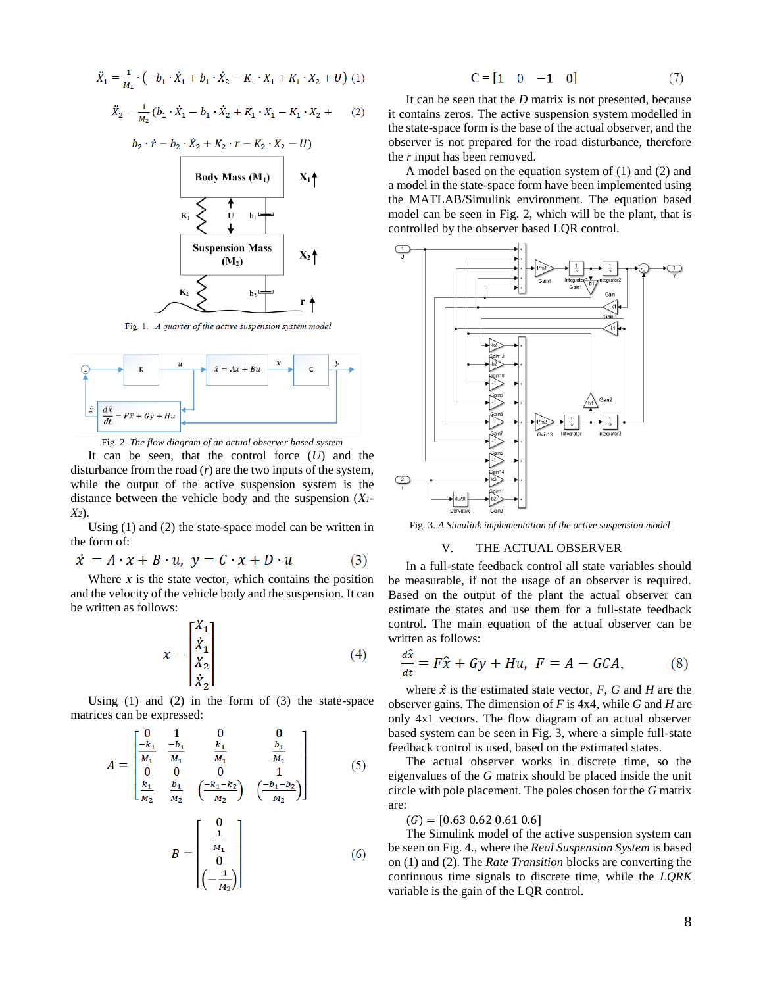$$
\ddot{X}_1 = \frac{1}{M_1} \cdot \left( -b_1 \cdot \dot{X}_1 + b_1 \cdot \dot{X}_2 - K_1 \cdot X_1 + K_1 \cdot X_2 + U \right) (1)
$$

$$
\ddot{X}_2 = \frac{1}{M_2} (b_1 \cdot \dot{X}_1 - b_1 \cdot \dot{X}_2 + K_1 \cdot X_1 - K_1 \cdot X_2 + (2)
$$



Fig. 1. A quarter of the active suspension system model



Fig. 2. *The flow diagram of an actual observer based system*

It can be seen, that the control force (*U*) and the disturbance from the road  $(r)$  are the two inputs of the system, while the output of the active suspension system is the distance between the vehicle body and the suspension (*X1- X2*).

Using (1) and (2) the state-space model can be written in the form of:

$$
\dot{x} = A \cdot x + B \cdot u, \ y = C \cdot x + D \cdot u \tag{3}
$$

Where  $x$  is the state vector, which contains the position and the velocity of the vehicle body and the suspension. It can be written as follows:

$$
x = \begin{bmatrix} X_1 \\ \dot{X}_1 \\ X_2 \\ \dot{X}_2 \end{bmatrix} \tag{4}
$$

Using (1) and (2) in the form of (3) the state-space matrices can be expressed:

$$
A = \begin{bmatrix} 0 & 1 & 0 & 0 \\ \frac{-k_1}{M_1} & \frac{-b_1}{M_1} & \frac{k_1}{M_1} & \frac{b_1}{M_1} \\ 0 & 0 & 0 & 1 \\ \frac{k_1}{M_2} & \frac{b_1}{M_2} & \left(\frac{-k_1 - k_2}{M_2}\right) & \left(\frac{-b_1 - b_2}{M_2}\right) \end{bmatrix}
$$
(5)  

$$
B = \begin{bmatrix} 0 & 1 & 0 \\ \frac{1}{M_1} & 0 & 0 \\ 0 & 0 & 0 & 0 \\ 0 & 0 & 0 & 0 \\ 0 & 0 & 0 & 0 \end{bmatrix}
$$
(6)

$$
\begin{bmatrix}\n\frac{1}{M_1} \\
0 \\
(-\frac{1}{M_2})\n\end{bmatrix}
$$
\n(6)

$$
\mathbb{C} = \begin{bmatrix} 1 & 0 & -1 & 0 \end{bmatrix} \tag{7}
$$

It can be seen that the *D* matrix is not presented, because it contains zeros. The active suspension system modelled in the state-space form is the base of the actual observer, and the observer is not prepared for the road disturbance, therefore the *r* input has been removed.

A model based on the equation system of (1) and (2) and a model in the state-space form have been implemented using the MATLAB/Simulink environment. The equation based model can be seen in Fig. 2, which will be the plant, that is controlled by the observer based LQR control.



Fig. 3. *A Simulink implementation of the active suspension model*

#### V. THE ACTUAL OBSERVER

In a full-state feedback control all state variables should be measurable, if not the usage of an observer is required. Based on the output of the plant the actual observer can estimate the states and use them for a full-state feedback control. The main equation of the actual observer can be written as follows:

$$
\frac{d\tilde{x}}{dt} = F\hat{x} + Gy + Hu, \ F = A - GCA,\tag{8}
$$

where  $\hat{x}$  is the estimated state vector,  $F$ ,  $G$  and  $H$  are the observer gains. The dimension of *F* is 4x4, while *G* and *H* are only 4x1 vectors. The flow diagram of an actual observer based system can be seen in Fig. 3, where a simple full-state feedback control is used, based on the estimated states.

The actual observer works in discrete time, so the eigenvalues of the *G* matrix should be placed inside the unit circle with pole placement. The poles chosen for the *G* matrix are:

 $(G) = [0.63 \, 0.62 \, 0.61 \, 0.6]$ 

The Simulink model of the active suspension system can be seen on Fig. 4., where the *Real Suspension System* is based on (1) and (2). The *Rate Transition* blocks are converting the continuous time signals to discrete time, while the *LQRK*  variable is the gain of the LQR control.